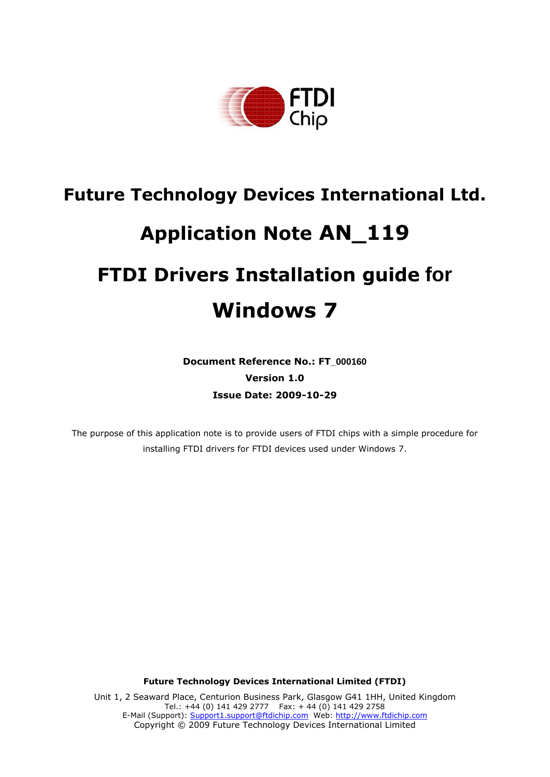

# **Future Technology Devices International Ltd. Application Note AN\_119 FTDI Drivers Installation guide for Windows 7**

**Document Reference No.: FT\_000160 Version 1.0 Issue Date: 2009-10-29**

The purpose of this application note is to provide users of FTDI chips with a simple procedure for installing FTDI drivers for FTDI devices used under Windows 7.

**Future Technology Devices International Limited (FTDI)**

Unit 1, 2 Seaward Place, Centurion Business Park, Glasgow G41 1HH, United Kingdom Tel.: +44 (0) 141 429 2777 Fax: + 44 (0) 141 429 2758 E-Mail (Support): Support1.support@ftdichip.com Web: http://www.ftdichip.com Copyright © 2009 Future Technology Devices International Limited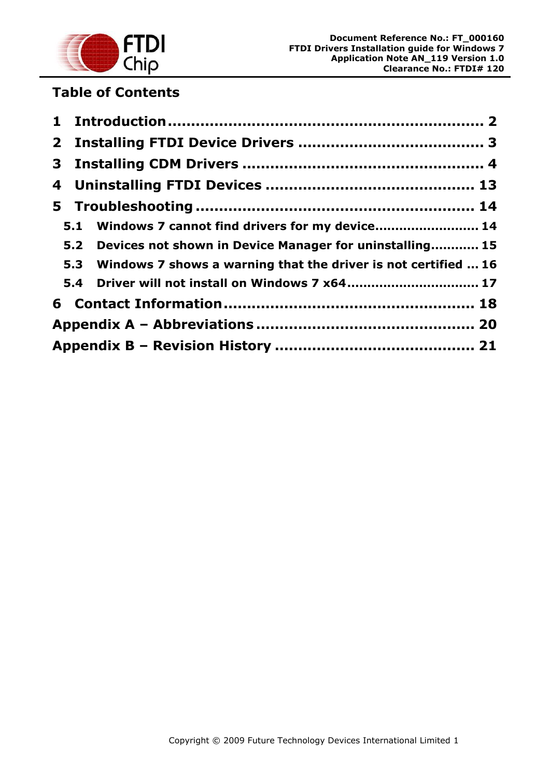

# **Table of Contents**

|  | 5.1 Windows 7 cannot find drivers for my device 14                 |  |
|--|--------------------------------------------------------------------|--|
|  | 5.2 Devices not shown in Device Manager for uninstalling 15        |  |
|  | 5.3 Windows 7 shows a warning that the driver is not certified  16 |  |
|  | 5.4 Driver will not install on Windows 7 x64 17                    |  |
|  |                                                                    |  |
|  |                                                                    |  |
|  |                                                                    |  |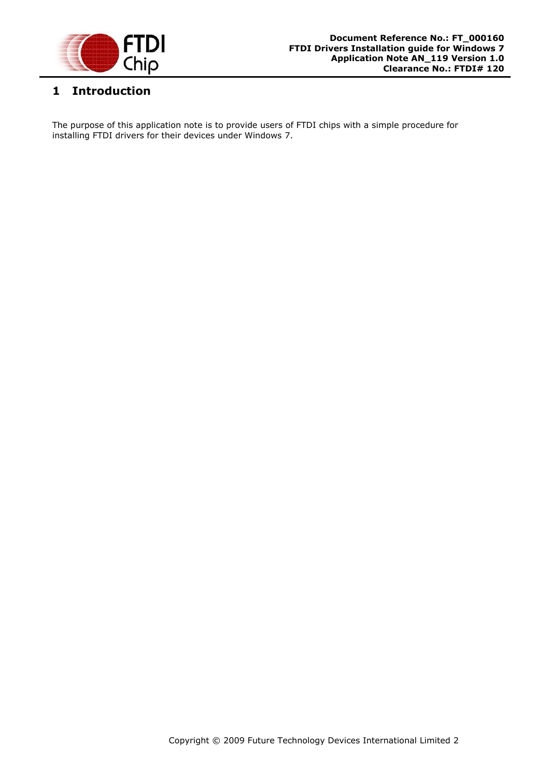

# <span id="page-2-0"></span>**1 Introduction**

The purpose of this application note is to provide users of FTDI chips with a simple procedure for installing FTDI drivers for their devices under Windows 7.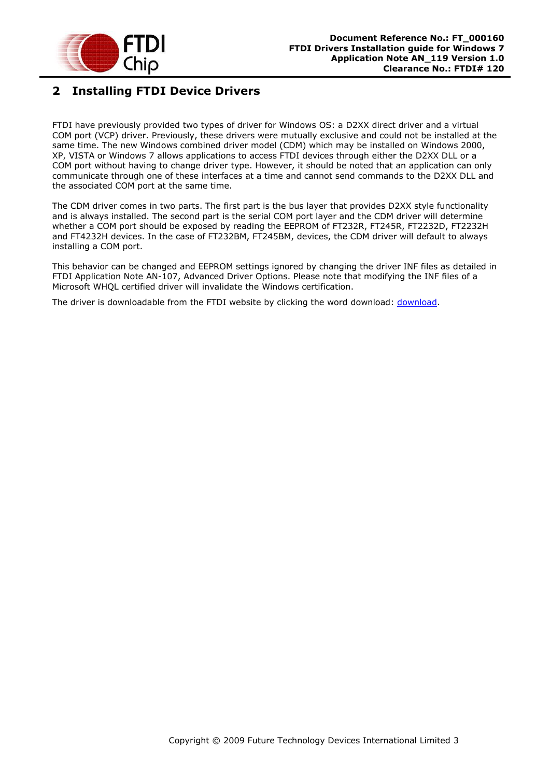

# <span id="page-3-0"></span>**2 Installing FTDI Device Drivers**

FTDI have previously provided two types of driver for Windows OS: a D2XX direct driver and a virtual COM port (VCP) driver. Previously, these drivers were mutually exclusive and could not be installed at the same time. The new Windows combined driver model (CDM) which may be installed on Windows 2000, XP, VISTA or Windows 7 allows applications to access FTDI devices through either the D2XX DLL or a COM port without having to change driver type. However, it should be noted that an application can only communicate through one of these interfaces at a time and cannot send commands to the D2XX DLL and the associated COM port at the same time.

The CDM driver comes in two parts. The first part is the bus layer that provides D2XX style functionality and is always installed. The second part is the serial COM port layer and the CDM driver will determine whether a COM port should be exposed by reading the EEPROM of FT232R, FT245R, FT2232D, FT2232H and FT4232H devices. In the case of FT232BM, FT245BM, devices, the CDM driver will default to always installing a COM port.

This behavior can be changed and EEPROM settings ignored by changing the driver INF files as detailed in FTDI Application Note AN-107, Advanced Driver Options. Please note that modifying the INF files of a Microsoft WHQL certified driver will invalidate the Windows certification.

The driver is downloadable from the FTDI website by clicking the word download: [download.](http://www.ftdichip.com/Drivers/CDM/CDM%202.04.16%20WHQL%20Certified.zip)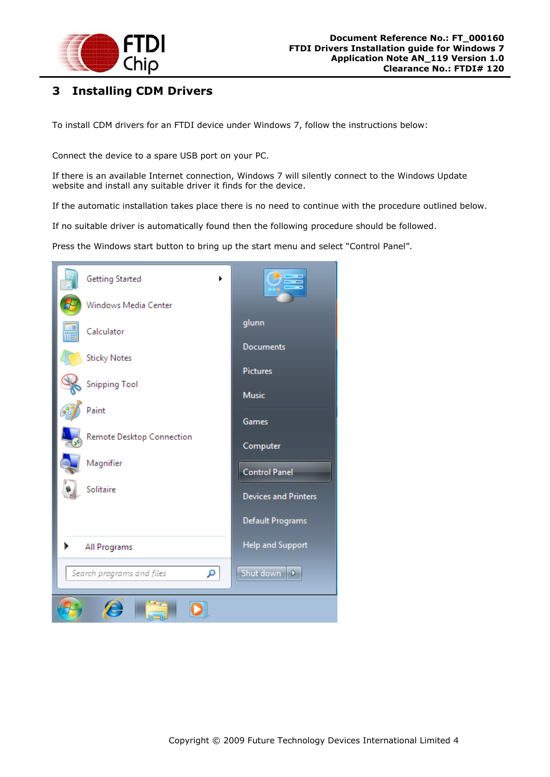

# <span id="page-4-0"></span>**3 Installing CDM Drivers**

To install CDM drivers for an FTDI device under Windows 7, follow the instructions below:

Connect the device to a spare USB port on your PC.

If there is an available Internet connection, Windows 7 will silently connect to the Windows Update website and install any suitable driver it finds for the device.

If the automatic installation takes place there is no need to continue with the procedure outlined below.

If no suitable driver is automatically found then the following procedure should be followed.

Press the Windows start button to bring up the start menu and select "Control Panel".

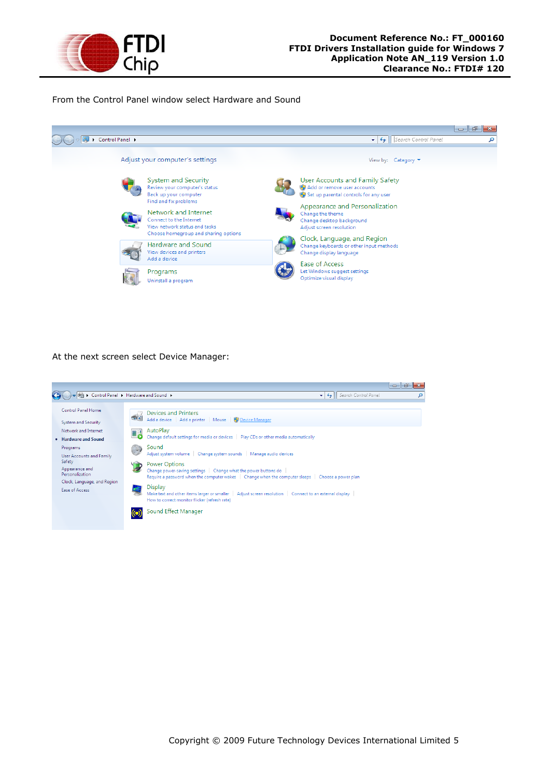

From the Control Panel window select Hardware and Sound



At the next screen select Device Manager:

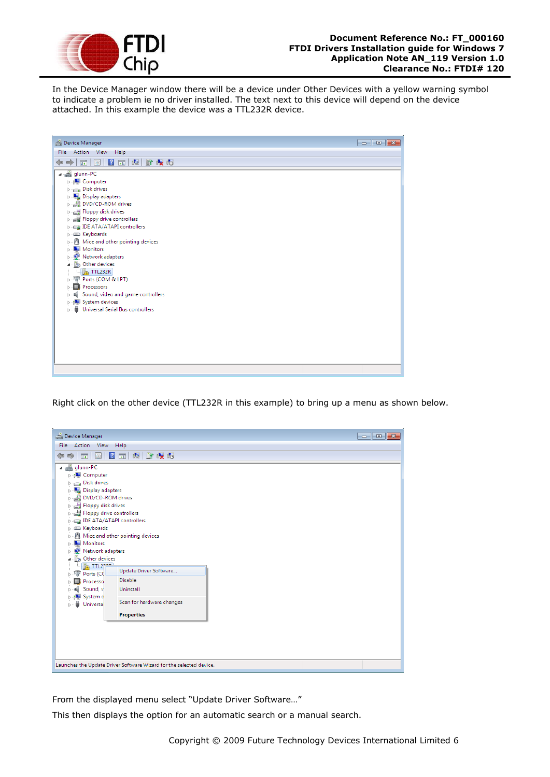

In the Device Manager window there will be a device under Other Devices with a yellow warning symbol to indicate a problem ie no driver installed. The text next to this device will depend on the device attached. In this example the device was a TTL232R device.

| Device Manager                                                                                                                                                                                                                                                                                                                                                                                                                                                                      | $\begin{array}{c c c c c c} \hline \multicolumn{3}{c }{\mathbf{C}} & \multicolumn{3}{c }{\mathbf{C}} & \multicolumn{3}{c }{\mathbf{X}} \end{array}$ |
|-------------------------------------------------------------------------------------------------------------------------------------------------------------------------------------------------------------------------------------------------------------------------------------------------------------------------------------------------------------------------------------------------------------------------------------------------------------------------------------|-----------------------------------------------------------------------------------------------------------------------------------------------------|
| File Action View Help                                                                                                                                                                                                                                                                                                                                                                                                                                                               |                                                                                                                                                     |
| 面图2面间的收缩<br>$\Rightarrow$<br>⇔                                                                                                                                                                                                                                                                                                                                                                                                                                                      |                                                                                                                                                     |
| a a glunn-PC<br><b>Delle Computer</b><br>$\triangleright$ $\Box$ Disk drives<br>> Display adapters<br>DVD/CD-ROM drives<br>Floppy disk drives<br>D : <sub>도</sub> 를 Floppy drive controllers<br>> Ea IDE ATA/ATAPI controllers<br>> Evboards<br>$\triangleright$ $\cdot$ Mice and other pointing devices<br>Monitors<br>Network adapters<br>4  Do Other devices<br>$\mathbb{Z}$ TTL232R<br><b>D. 零 Ports (COM &amp; LPT)</b><br>Processors<br>> = Sound, video and game controllers |                                                                                                                                                     |
| > - System devices<br><b>b</b> Universal Serial Bus controllers                                                                                                                                                                                                                                                                                                                                                                                                                     |                                                                                                                                                     |
|                                                                                                                                                                                                                                                                                                                                                                                                                                                                                     |                                                                                                                                                     |

Right click on the other device (TTL232R in this example) to bring up a menu as shown below.



From the displayed menu select "Update Driver Software…"

This then displays the option for an automatic search or a manual search.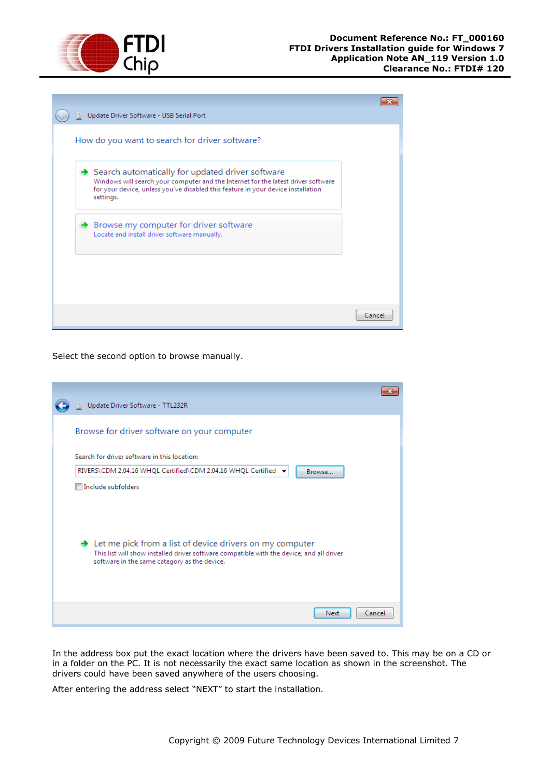

|  | Update Driver Software - USB Serial Port                                                                                                                                                                                               |        |
|--|----------------------------------------------------------------------------------------------------------------------------------------------------------------------------------------------------------------------------------------|--------|
|  | How do you want to search for driver software?                                                                                                                                                                                         |        |
|  | Search automatically for updated driver software<br>Windows will search your computer and the Internet for the latest driver software<br>for your device, unless you've disabled this feature in your device installation<br>settings. |        |
|  | Browse my computer for driver software<br>Locate and install driver software manually.                                                                                                                                                 |        |
|  |                                                                                                                                                                                                                                        |        |
|  |                                                                                                                                                                                                                                        | Cancel |

Select the second option to browse manually.

| Update Driver Software - TTL232R                                                                                                                                                                                   |  |
|--------------------------------------------------------------------------------------------------------------------------------------------------------------------------------------------------------------------|--|
| Browse for driver software on your computer                                                                                                                                                                        |  |
| Search for driver software in this location:                                                                                                                                                                       |  |
| RIVERS\CDM 2.04.16 WHQL Certified\CDM 2.04.16 WHQL Certified →<br>Browse                                                                                                                                           |  |
| Include subfolders                                                                                                                                                                                                 |  |
| $\rightarrow$ Let me pick from a list of device drivers on my computer<br>This list will show installed driver software compatible with the device, and all driver<br>software in the same category as the device. |  |
| Cancel<br>Next                                                                                                                                                                                                     |  |

In the address box put the exact location where the drivers have been saved to. This may be on a CD or in a folder on the PC. It is not necessarily the exact same location as shown in the screenshot. The drivers could have been saved anywhere of the users choosing.

After entering the address select "NEXT" to start the installation.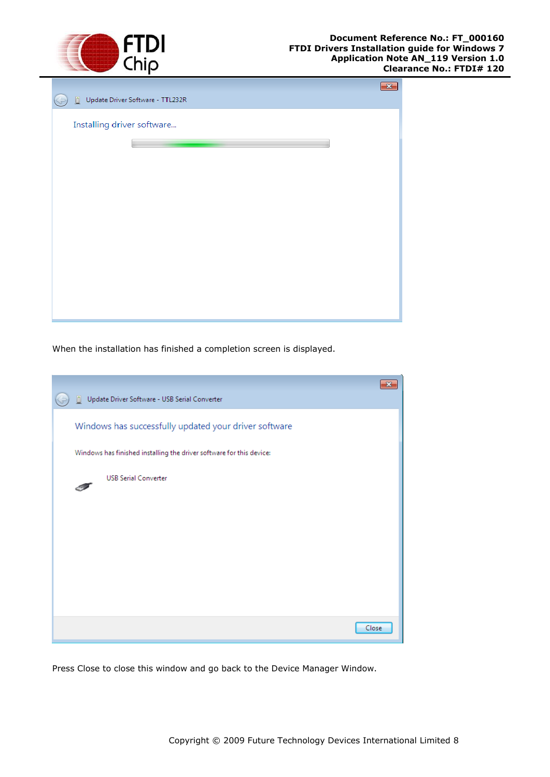

| Update Driver Software - TTL232R<br>O. | $\overline{23}$ |
|----------------------------------------|-----------------|
| Installing driver software             |                 |
|                                        |                 |
|                                        |                 |
|                                        |                 |
|                                        |                 |
|                                        |                 |
|                                        |                 |

When the installation has finished a completion screen is displayed.

| Update Driver Software - USB Serial Converter<br>Ini                 |  |
|----------------------------------------------------------------------|--|
| Windows has successfully updated your driver software                |  |
| Windows has finished installing the driver software for this device: |  |
| <b>USB Serial Converter</b>                                          |  |
|                                                                      |  |
|                                                                      |  |
|                                                                      |  |
|                                                                      |  |
|                                                                      |  |
| Close                                                                |  |

Press Close to close this window and go back to the Device Manager Window.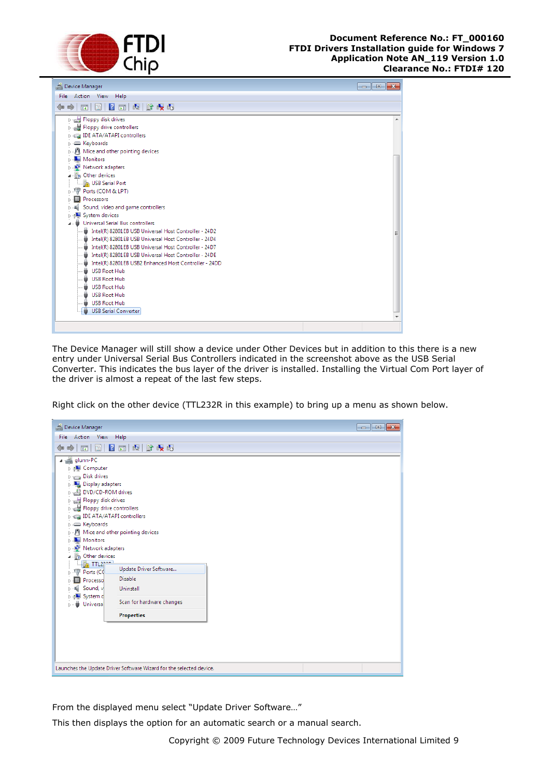



The Device Manager will still show a device under Other Devices but in addition to this there is a new entry under Universal Serial Bus Controllers indicated in the screenshot above as the USB Serial Converter. This indicates the bus layer of the driver is installed. Installing the Virtual Com Port layer of the driver is almost a repeat of the last few steps.

Right click on the other device (TTL232R in this example) to bring up a menu as shown below.



From the displayed menu select "Update Driver Software…"

This then displays the option for an automatic search or a manual search.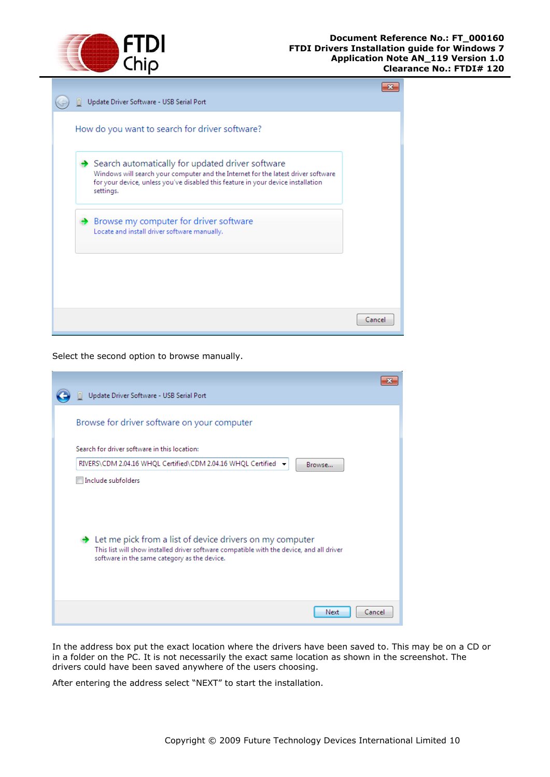

| Update Driver Software - USB Serial Port                                                                                                                                                                                               |        |
|----------------------------------------------------------------------------------------------------------------------------------------------------------------------------------------------------------------------------------------|--------|
| How do you want to search for driver software?                                                                                                                                                                                         |        |
| Search automatically for updated driver software<br>Windows will search your computer and the Internet for the latest driver software<br>for your device, unless you've disabled this feature in your device installation<br>settings. |        |
| $\rightarrow$ Browse my computer for driver software<br>Locate and install driver software manually.                                                                                                                                   |        |
|                                                                                                                                                                                                                                        |        |
|                                                                                                                                                                                                                                        | Cancel |

Select the second option to browse manually.

| Update Driver Software - USB Serial Port                                                                                                                                                                           |
|--------------------------------------------------------------------------------------------------------------------------------------------------------------------------------------------------------------------|
| Browse for driver software on your computer                                                                                                                                                                        |
| Search for driver software in this location:                                                                                                                                                                       |
| RIVERS\CDM 2.04.16 WHQL Certified\CDM 2.04.16 WHQL Certified →<br>Browse                                                                                                                                           |
| Include subfolders                                                                                                                                                                                                 |
| $\rightarrow$ Let me pick from a list of device drivers on my computer<br>This list will show installed driver software compatible with the device, and all driver<br>software in the same category as the device. |
| Cancel<br>Next                                                                                                                                                                                                     |

In the address box put the exact location where the drivers have been saved to. This may be on a CD or in a folder on the PC. It is not necessarily the exact same location as shown in the screenshot. The drivers could have been saved anywhere of the users choosing.

After entering the address select "NEXT" to start the installation.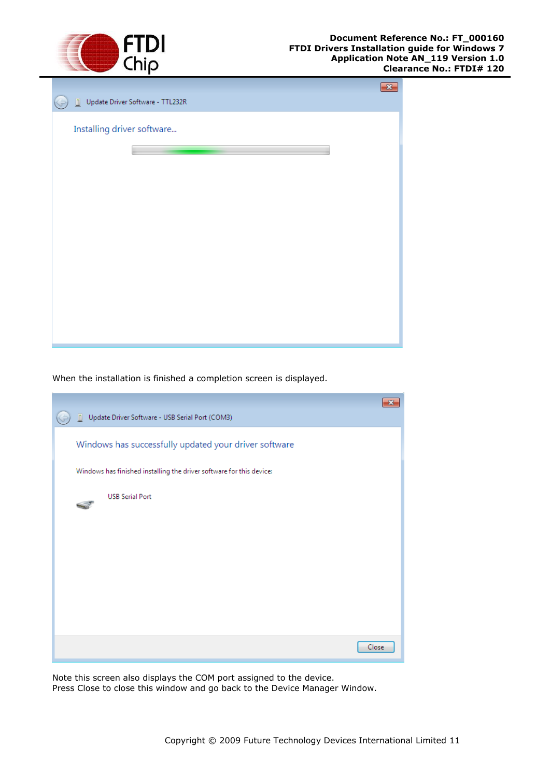

| Update Driver Software - TTL232R<br>O. | $-23$ |
|----------------------------------------|-------|
| Installing driver software             |       |
|                                        |       |
|                                        |       |
|                                        |       |
|                                        |       |
|                                        |       |
|                                        |       |
|                                        |       |

When the installation is finished a completion screen is displayed.

| Update Driver Software - USB Serial Port (COM3)<br>n.                |       |
|----------------------------------------------------------------------|-------|
| Windows has successfully updated your driver software                |       |
| Windows has finished installing the driver software for this device: |       |
| <b>USB Serial Port</b>                                               |       |
|                                                                      |       |
|                                                                      |       |
|                                                                      |       |
|                                                                      |       |
|                                                                      |       |
|                                                                      | Close |

Note this screen also displays the COM port assigned to the device.

Press Close to close this window and go back to the Device Manager Window.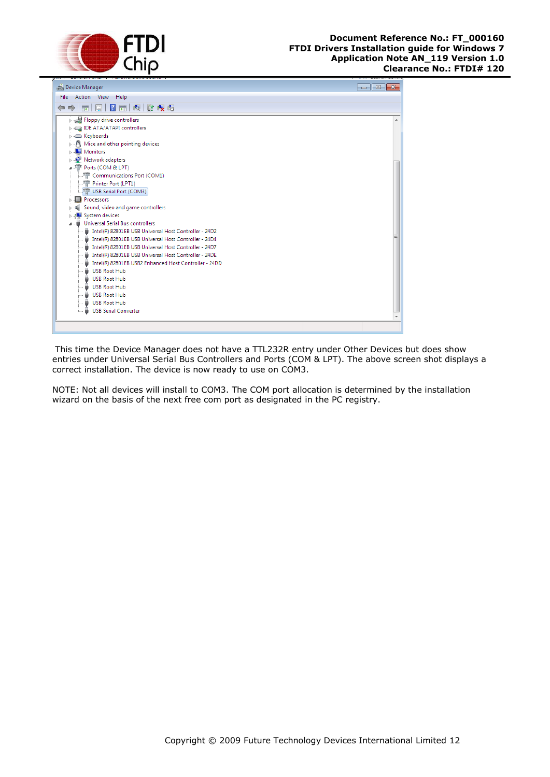



This time the Device Manager does not have a TTL232R entry under Other Devices but does show entries under Universal Serial Bus Controllers and Ports (COM & LPT). The above screen shot displays a correct installation. The device is now ready to use on COM3.

NOTE: Not all devices will install to COM3. The COM port allocation is determined by the installation wizard on the basis of the next free com port as designated in the PC registry.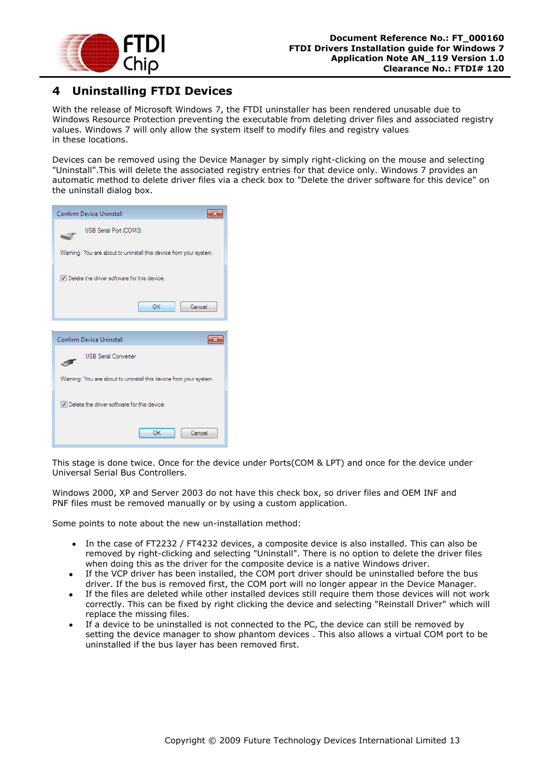

# <span id="page-13-0"></span>**4 Uninstalling FTDI Devices**

With the release of Microsoft Windows 7, the FTDI uninstaller has been rendered unusable due to Windows Resource Protection preventing the executable from deleting driver files and associated registry values. Windows 7 will only allow the system itself to modify files and registry values in these locations.

Devices can be removed using the Device Manager by simply right-clicking on the mouse and selecting "Uninstall".This will delete the associated registry entries for that device only. Windows 7 provides an automatic method to delete driver files via a check box to "Delete the driver software for this device" on the uninstall dialog box.

| <b>Confirm Device Uninstall</b>                                  |  |  |
|------------------------------------------------------------------|--|--|
| USB Serial Port (COM3)                                           |  |  |
| Waming: You are about to uninstall this device from your system. |  |  |
| Delete the driver software for this device.                      |  |  |
| OK<br>Cancel                                                     |  |  |
|                                                                  |  |  |
| Confirm Device Uninstall                                         |  |  |
|                                                                  |  |  |
| <b>USB Serial Converter</b>                                      |  |  |
| Waming: You are about to uninstall this device from your system. |  |  |
| Delete the driver software for this device.                      |  |  |

This stage is done twice. Once for the device under Ports(COM & LPT) and once for the device under Universal Serial Bus Controllers.

Windows 2000, XP and Server 2003 do not have this check box, so driver files and OEM INF and PNF files must be removed manually or by using a custom application.

Some points to note about the new un-installation method:

- In the case of FT2232 / FT4232 devices, a composite device is also installed. This can also be removed by right-clicking and selecting "Uninstall". There is no option to delete the driver files when doing this as the driver for the composite device is a native Windows driver.
- If the VCP driver has been installed, the COM port driver should be uninstalled before the bus driver. If the bus is removed first, the COM port will no longer appear in the Device Manager.
- If the files are deleted while other installed devices still require them those devices will not work correctly. This can be fixed by right clicking the device and selecting "Reinstall Driver" which will replace the missing files.
- If a device to be uninstalled is not connected to the PC, the device can still be removed by setting the device manager to show phantom devices . This also allows a virtual COM port to be uninstalled if the bus layer has been removed first.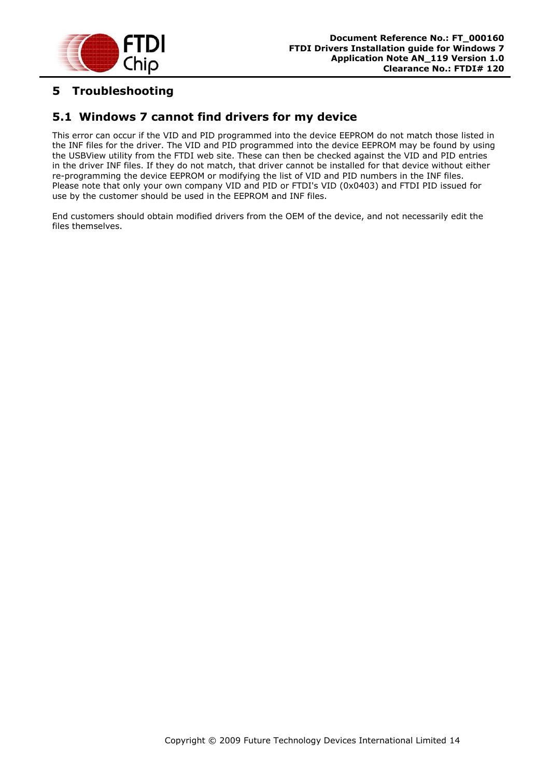

# <span id="page-14-0"></span>**5 Troubleshooting**

## <span id="page-14-1"></span>**5.1 Windows 7 cannot find drivers for my device**

This error can occur if the VID and PID programmed into the device EEPROM do not match those listed in the INF files for the driver. The VID and PID programmed into the device EEPROM may be found by using the USBView utility from the FTDI web site. These can then be checked against the VID and PID entries in the driver INF files. If they do not match, that driver cannot be installed for that device without either re-programming the device EEPROM or modifying the list of VID and PID numbers in the INF files. Please note that only your own company VID and PID or FTDI's VID (0x0403) and FTDI PID issued for use by the customer should be used in the EEPROM and INF files.

End customers should obtain modified drivers from the OEM of the device, and not necessarily edit the files themselves.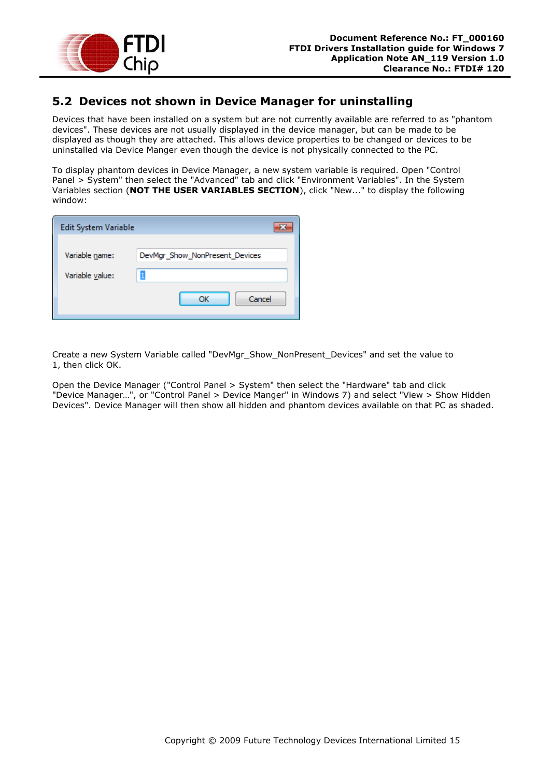

## <span id="page-15-0"></span>**5.2 Devices not shown in Device Manager for uninstalling**

Devices that have been installed on a system but are not currently available are referred to as "phantom devices". These devices are not usually displayed in the device manager, but can be made to be displayed as though they are attached. This allows device properties to be changed or devices to be uninstalled via Device Manger even though the device is not physically connected to the PC.

To display phantom devices in Device Manager, a new system variable is required. Open "Control Panel > System" then select the "Advanced" tab and click "Environment Variables". In the System Variables section (**NOT THE USER VARIABLES SECTION**), click "New..." to display the following window:

| Edit System Variable |                                |
|----------------------|--------------------------------|
| Variable name:       | DevMgr_Show_NonPresent_Devices |
| Variable value:      |                                |
|                      | Cancel<br>ОК                   |

Create a new System Variable called "DevMgr\_Show\_NonPresent\_Devices" and set the value to 1, then click OK.

Open the Device Manager ("Control Panel > System" then select the "Hardware" tab and click "Device Manager…", or "Control Panel > Device Manger" in Windows 7) and select "View > Show Hidden Devices". Device Manager will then show all hidden and phantom devices available on that PC as shaded.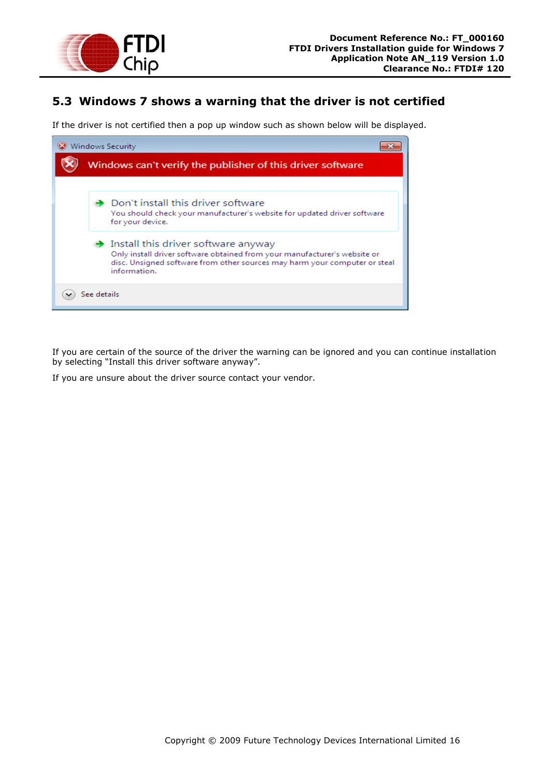

## <span id="page-16-0"></span>**5.3 Windows 7 shows a warning that the driver is not certified**

If the driver is not certified then a pop up window such as shown below will be displayed.



If you are certain of the source of the driver the warning can be ignored and you can continue installation by selecting "Install this driver software anyway".

If you are unsure about the driver source contact your vendor.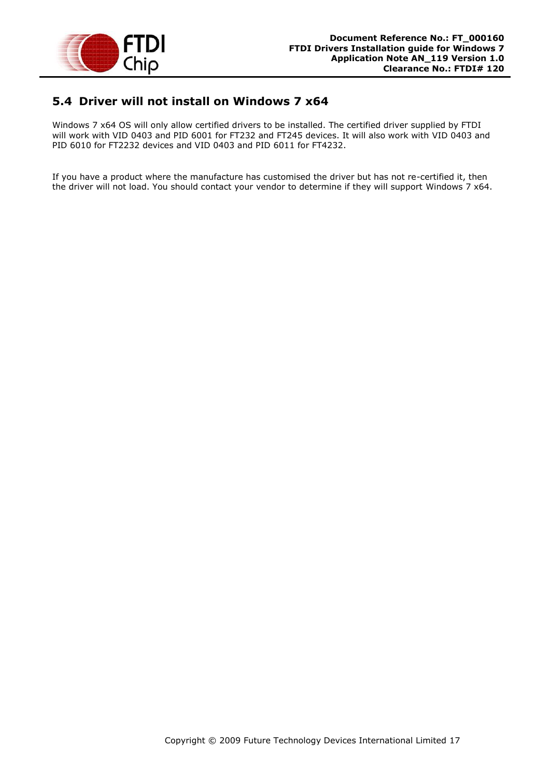

### <span id="page-17-0"></span>**5.4 Driver will not install on Windows 7 x64**

Windows 7 x64 OS will only allow certified drivers to be installed. The certified driver supplied by FTDI will work with VID 0403 and PID 6001 for FT232 and FT245 devices. It will also work with VID 0403 and PID 6010 for FT2232 devices and VID 0403 and PID 6011 for FT4232.

If you have a product where the manufacture has customised the driver but has not re-certified it, then the driver will not load. You should contact your vendor to determine if they will support Windows 7 x64.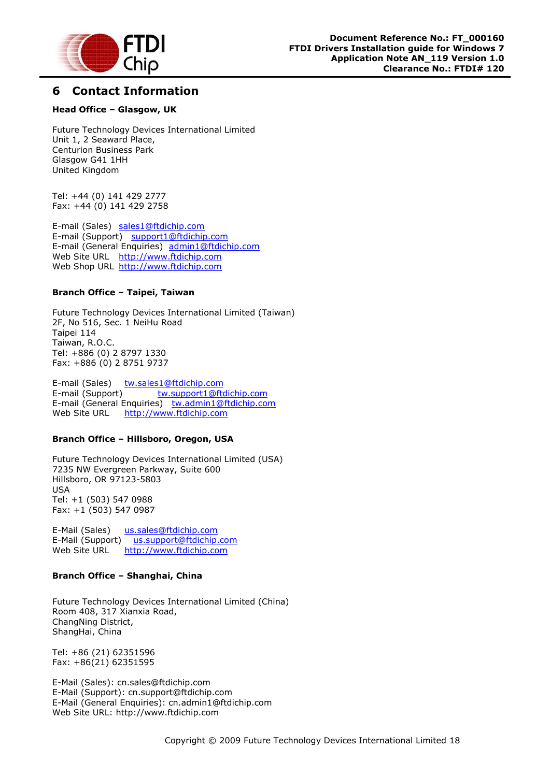

## <span id="page-18-0"></span>**6 Contact Information**

#### **Head Office – Glasgow, UK**

Future Technology Devices International Limited Unit 1, 2 Seaward Place, Centurion Business Park Glasgow G41 1HH United Kingdom

Tel: +44 (0) 141 429 2777 Fax: +44 (0) 141 429 2758

E-mail (Sales) [sales1@ftdichip.com](mailto:sales1@ftdichip.com) E-mail (Support) [support1@ftdichip.com](mailto:support1@ftdichip.com) E-mail (General Enquiries) [admin1@ftdichip.com](mailto:admin1@ftdichip.com) Web Site URL [http://www.ftdichip.com](http://www.ftdichip.com/) Web Shop URL [http://www.ftdichip.com](http://www.ftdichip.com/)

#### **Branch Office – Taipei, Taiwan**

Future Technology Devices International Limited (Taiwan) 2F, No 516, Sec. 1 NeiHu Road Taipei 114 Taiwan, R.O.C. Tel: +886 (0) 2 8797 1330 Fax: +886 (0) 2 8751 9737

E-mail (Sales) [tw.sales1@ftdichip.com](mailto:tw.sales1@ftdichip.com) E-mail (Support) [tw.support1@ftdichip.com](mailto:tw.support1@ftdichip.com) E-mail (General Enquiries) [tw.admin1@ftdichip.com](mailto:tw.admin1@ftdichip.com) Web Site URL [http://www.ftdichip.com](http://www.ftdichip.com/)

#### **Branch Office – Hillsboro, Oregon, USA**

Future Technology Devices International Limited (USA) 7235 NW Evergreen Parkway, Suite 600 Hillsboro, OR 97123-5803 USA Tel: +1 (503) 547 0988 Fax: +1 (503) 547 0987

E-Mail (Sales) [us.sales@ftdichip.com](mailto:us.sales@ftdichip.com) E-Mail (Support) [us.support@ftdichip.com](mailto:us.support@ftdichip.com) Web Site URL [http://www.ftdichip.com](http://www.ftdichip.com/)

#### **Branch Office – Shanghai, China**

Future Technology Devices International Limited (China) Room 408, 317 Xianxia Road, ChangNing District, ShangHai, China

Tel: +86 [\(21\) 6](LiveCall:(503)547-0988)2351596 Fax: +8[6\(21\) 6](LiveCall:(503)547-0987)2351595

E-Mail (Sales): [cn.sales@ftdichip.com](mailto:cn.sales@ftdichip.com) E-Mail (Support): c[n.support@ftdichip.](mailto:.support@ftdichip)com E-Mail (General Enquiries): cn[.admin1@ftdichip.com](mailto:admin1@ftdichip.com) Web Site URL: [http://www.ftdichip.com](http://www.ftdichip.com/)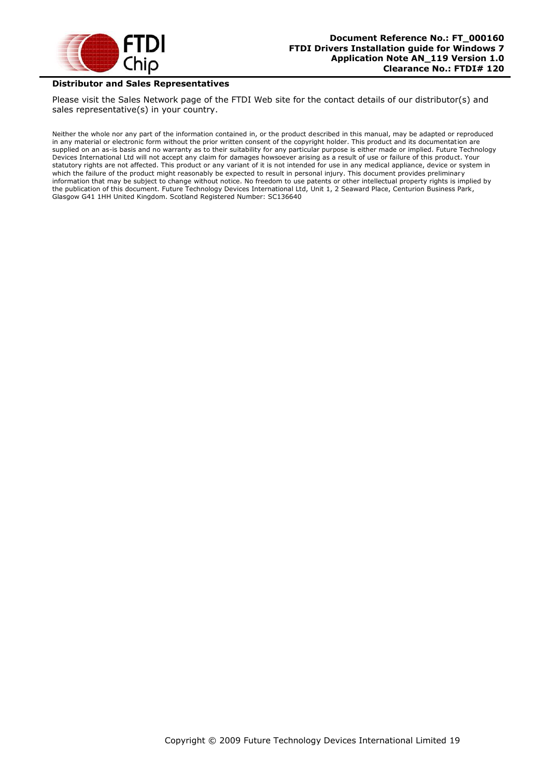

#### **Distributor and Sales Representatives**

Please visit the Sales Network page of the FTDI Web site for the contact details of our distributor(s) and sales representative(s) in your country.

Neither the whole nor any part of the information contained in, or the product described in this manual, may be adapted or reproduced in any material or electronic form without the prior written consent of the copyright holder. This product and its documentation are supplied on an as-is basis and no warranty as to their suitability for any particular purpose is either made or implied. Future Technology Devices International Ltd will not accept any claim for damages howsoever arising as a result of use or failure of this product. Your statutory rights are not affected. This product or any variant of it is not intended for use in any medical appliance, device or system in which the failure of the product might reasonably be expected to result in personal injury. This document provides preliminary information that may be subject to change without notice. No freedom to use patents or other intellectual property rights is implied by the publication of this document. Future Technology Devices International Ltd, Unit 1, 2 Seaward Place, Centurion Business Park, Glasgow G41 1HH United Kingdom. Scotland Registered Number: SC136640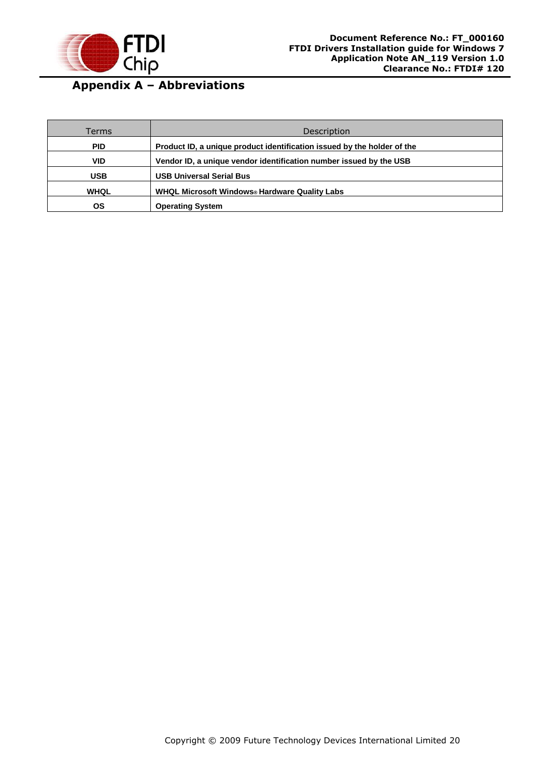

# <span id="page-20-0"></span>**Appendix A – Abbreviations**

| Terms       | Description                                                             |
|-------------|-------------------------------------------------------------------------|
| <b>PID</b>  | Product ID, a unique product identification issued by the holder of the |
| <b>VID</b>  | Vendor ID, a unique vendor identification number issued by the USB      |
| <b>USB</b>  | <b>USB Universal Serial Bus</b>                                         |
| <b>WHQL</b> | WHQL Microsoft Windows® Hardware Quality Labs                           |
| ΟS          | <b>Operating System</b>                                                 |